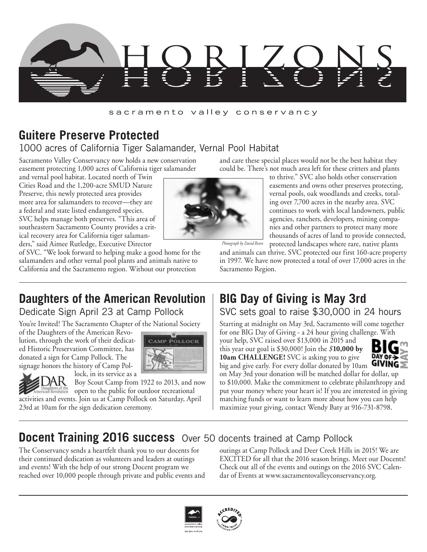

#### sacramento valley conservancy

## **Guitere Preserve Protected**

### 1000 acres of California Tiger Salamander, Vernal Pool Habitat

Sacramento Valley Conservancy now holds a new conservation easement protecting 1,000 acres of California tiger salamander

and vernal pool habitat. Located north of Twin Cities Road and the 1,200-acre SMUD Nature Preserve, this newly protected area provides more area for salamanders to recover—they are a federal and state listed endangered species. SVC helps manage both preserves. "This area of southeastern Sacramento County provides a critical recovery area for California tiger salamanders," said Aimee Rutledge, Executive Director



and care these special places would not be the best habitat they could be. There's not much area left for these critters and plants

> to thrive." SVC also holds other conservation easements and owns other preserves protecting, vernal pools, oak woodlands and creeks, totaling over 7,700 acres in the nearby area. SVC continues to work with local landowners, public agencies, ranchers, developers, mining companies and other partners to protect many more thousands of acres of land to provide connected, protected landscapes where rare, native plants

*Photograph by David Rosen*

and animals can thrive. SVC protected our first 160-acre property in 1997. We have now protected a total of over 17,000 acres in the Sacramento Region.

# **Daughters of the American Revolution**

of SVC. "We look forward to helping make a good home for the salamanders and other vernal pool plants and animals native to California and the Sacramento region. Without our protection

Dedicate Sign April 23 at Camp Pollock

You're Invited! The Sacramento Chapter of the National Society

of the Daughters of the American Revolution, through the work of their dedicated Historic Preservation Committee, has donated a sign for Camp Pollock. The signage honors the history of Camp Pol-





lock, in its service as a Boy Scout Camp from 1922 to 2013, and now

the open to the public for outdoor recreational activities and events. Join us at Camp Pollock on Saturday, April 23rd at 10am for the sign dedication ceremony.

# **BIG Day of Giving is May 3rd**

SVC sets goal to raise \$30,000 in 24 hours

Starting at midnight on May 3rd, Sacramento will come together for one BIG Day of Giving - a 24 hour giving challenge. With

your help, SVC raised over \$13,000 in 2015 and this year our goal is \$30,000! Join the *\$***10,000 by 10am CHALLENGE!** SVC is asking you to give



big and give early. For every dollar donated by  $10\text{am}$  GIVING  $\geq$ on May 3rd your donation will be matched dollar for dollar, up to \$10,000. Make the commitment to celebrate philanthropy and put your money where your heart is! If you are interested in giving matching funds or want to learn more about how you can help maximize your giving, contact Wendy Baty at 916-731-8798.

## **Docent Training 2016 success** Over 50 docents trained at Camp Pollock

The Conservancy sends a heartfelt thank you to our docents for their continued dedication as volunteers and leaders at outings and events! With the help of our strong Docent program we reached over 10,000 people through private and public events and

outings at Camp Pollock and Deer Creek Hills in 2015! We are EXCITED for all that the 2016 season brings. Meet our Docents! Check out all of the events and outings on the 2016 SVC Calendar of Events at www.sacramentovalleyconservancy.org.



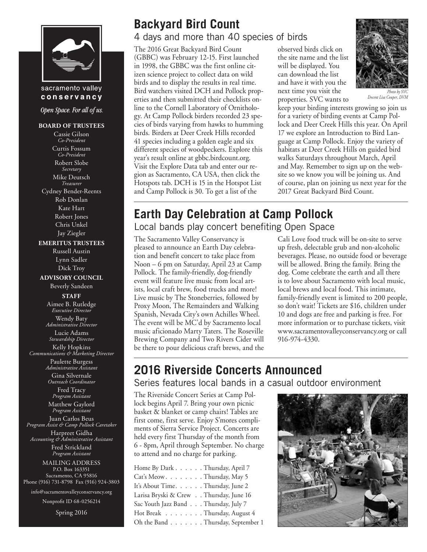

#### sacramento valley conservancy

Open Space. For all of us.

#### **BOARD OF TRUSTEES**

Cassie Gilson *Co-President* Curtis Fossum *Co-President* Robert Slobe *Secretary* Mike Deutsch *Treasurer* Cydney Bender-Reents Rob Donlan Kate Hart Robert Jones Chris Unkel Jay Ziegler **EMERITUS TRUSTEES** Russell Austin Lynn Sadler Dick Troy **ADVISORY COUNCIL** Beverly Sandeen **STAFF** Aimee B. Rutledge *Executive Director* Wendy Baty *Administrative Director* Lucie Adams *Stewardship Director* Kelly Hopkins *Communications & Marketing Director* Paulette Burgess *Administrative Assistant* Gina Silvernale *Outreach Coordinator* Fred Tracy *Program Assistant* Matthew Gaylord *Program Assistant* Juan Carlos Beus *Program Assist & Camp Pollock Caretaker* Harpreet Gidha *Accounting & Administrative Assistant* Fred Strickland *Program Assistant* MAILING ADDRESS P.O. Box 163351 Sacramento, CA 95816

Phone (916) 731-8798 Fax (916) 924-3803

info@sacramentovalleyconservancy.org

Nonprofit ID 68-0256214

Spring 2016

# **Backyard Bird Count**

4 days and more than 40 species of birds

The 2016 Great Backyard Bird Count (GBBC) was February 12-15. First launched in 1998, the GBBC was the first online citizen science project to collect data on wild birds and to display the results in real time. Bird watchers visited DCH and Pollock properties and then submitted their checklists online to the Cornell Laboratory of Ornithology. At Camp Pollock birders recorded 23 species of birds varying from hawks to humming birds. Birders at Deer Creek Hills recorded 41 species including a golden eagle and six different species of woodpeckers. Explore this year's result online at gbbc.birdcount.org. Visit the Explore Data tab and enter our region as Sacramento, CA USA, then click the Hotspots tab. DCH is 15 in the Hotspot List and Camp Pollock is 30. To get a list of the

observed birds click on the site name and the list will be displayed. You can download the list and have it with you the next time you visit the properties. SVC wants to



*Docent Lisa Couper, DVM*

keep your birding interests growing so join us for a variety of birding events at Camp Pollock and Deer Creek Hills this year. On April 17 we explore an Introduction to Bird Language at Camp Pollock. Enjoy the variety of habitats at Deer Creek Hills on guided bird walks Saturdays throughout March, April and May. Remember to sign up on the website so we know you will be joining us. And of course, plan on joining us next year for the 2017 Great Backyard Bird Count.

# **Earth Day Celebration at Camp Pollock**

Local bands play concert benefiting Open Space

The Sacramento Valley Conservancy is pleased to announce an Earth Day celebration and benefit concert to take place from Noon – 6 pm on Saturday, April 23 at Camp Pollock. The family-friendly, dog-friendly event will feature live music from local artists, local craft brew, food trucks and more! Live music by The Stoneberries, followed by Proxy Moon, The Remainders and Walking Spanish, Nevada City's own Achilles Wheel. The event will be MC'd by Sacramento local music aficionado Marty Taters. The Roseville Brewing Company and Two Rivers Cider will be there to pour delicious craft brews, and the Cali Love food truck will be on-site to serve up fresh, delectable grub and non-alcoholic beverages. Please, no outside food or beverage will be allowed. Bring the family. Bring the dog. Come celebrate the earth and all there is to love about Sacramento with local music, local brews and local food. This intimate, family-friendly event is limited to 200 people, so don't wait! Tickets are \$16, children under 10 and dogs are free and parking is free. For more information or to purchase tickets, visit www.sacramentovalleyconservancy.org or call 916-974-4330.

### **2016 Riverside Concerts Announced** Series features local bands in a casual outdoor environment

The Riverside Concert Series at Camp Pollock begins April 7. Bring your own picnic basket & blanket or camp chairs! Tables are first come, first serve. Enjoy S'mores compliments of Sierra Service Project. Concerts are held every first Thursday of the month from 6 - 8pm, April through September. No charge to attend and no charge for parking.

| Home By Dark Thursday, April 7         |
|----------------------------------------|
| Cat's Meow. Thursday, May 5            |
| It's About Time. Thursday, June 2      |
| Larisa Bryski & Crew Thursday, June 16 |
| Sac Youth Jazz Band Thursday, July 7   |
| Hot Break Thursday, August 4           |
| Oh the Band Thursday, September 1      |

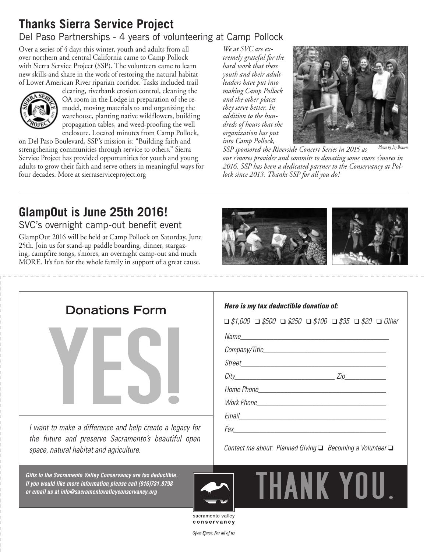# **Thanks Sierra Service Project**

## Del Paso Partnerships - 4 years of volunteering at Camp Pollock

Over a series of 4 days this winter, youth and adults from all over northern and central California came to Camp Pollock with Sierra Service Project (SSP). The volunteers came to learn new skills and share in the work of restoring the natural habitat of Lower American River riparian corridor. Tasks included trail



clearing, riverbank erosion control, cleaning the OA room in the Lodge in preparation of the remodel, moving materials to and organizing the warehouse, planting native wildflowers, building propagation tables, and weed-proofing the well enclosure. Located minutes from Camp Pollock,

on Del Paso Boulevard, SSP's mission is: "Building faith and strengthening communities through service to others." Sierra Service Project has provided opportunities for youth and young adults to grow their faith and serve others in meaningful ways for four decades. More at sierraserviceproject.org

*We at SVC are extremely grateful for the hard work that these youth and their adult leaders have put into making Camp Pollock and the other places they serve better. In addition to the hundreds of hours that the organization has put into Camp Pollock,* 



*SSP sponsored the Riverside Concert Series in 2015 as our s'mores provider and commits to donating some more s'mores in 2016. SSP has been a dedicated partner to the Conservancy at Pollock since 2013. Thanks SSP for all you do! Photo by Joy Brawn*

# **GlampOut is June 25th 2016!**

SVC's overnight camp-out benefit event

GlampOut 2016 will be held at Camp Pollock on Saturday, June 25th. Join us for stand-up paddle boarding, dinner, stargazing, campfire songs, s'mores, an overnight camp-out and much MORE. It's fun for the whole family in support of a great cause.





*Gifts to the Sacramento Valley Conservancy are tax deductible. If you would like more information,please call (916)731.8798 or email us at info@sacramentovalleyconservancy.org*

#### Here is my tax deductible donation of:

❑ *\$1,000* ❑ *\$500* ❑ *\$250* ❑ *\$100* ❑ *\$35* ❑ *\$20* ❑ *Other*

Name experience and the contract of the contract of the contract of the contract of the contract of the contract of the contract of the contract of the contract of the contract of the contract of the contract of the contra

Company/Title Company of the Company of the Company of the Company of the Company of the Company of the Company

 $City$   $Zip$ Home Phone **State Contract Contract Contract Contract Contract Contract Contract Contract Contract Contract Contract Contract Contract Contract Contract Contract Contract Contract Contract Contract Contract Contract Contra** 

Work Phone **Washington** 

Email **Exercise Exercise Exercise Service Service** Service Service Service Service Service Service Service Service

Contact me about: Planned Giving ■ Becoming a Volunteer



THANK YOU.

sacramento valley conservancy

Open Space. For all of us.